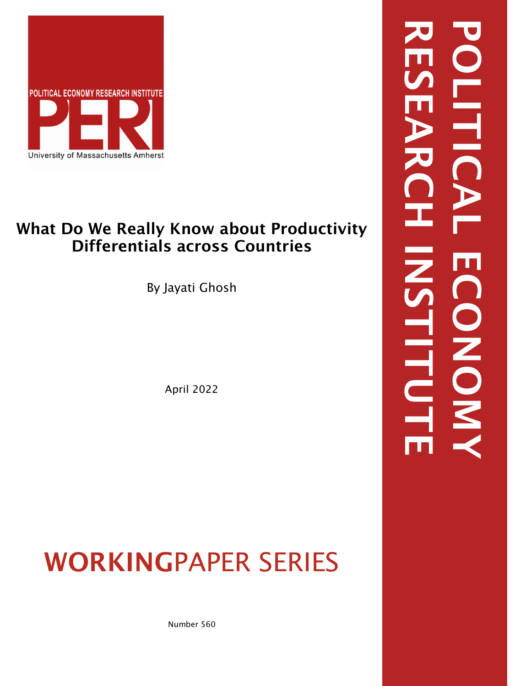

# What Do We Really Know about Productivity Differentials across Countries

By Jayati Ghosh

April 2022

# WORKINGPAPER SERIES

RESEARCH INSTITUTE POLITICAL ECONOMYLITI C **HITO** NON

Number 560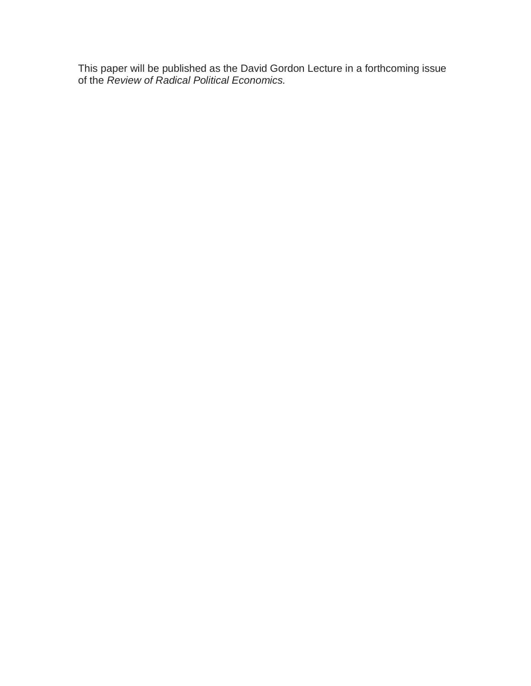This paper will be published as the David Gordon Lecture in a forthcoming issue of the *Review of Radical Political Economics.*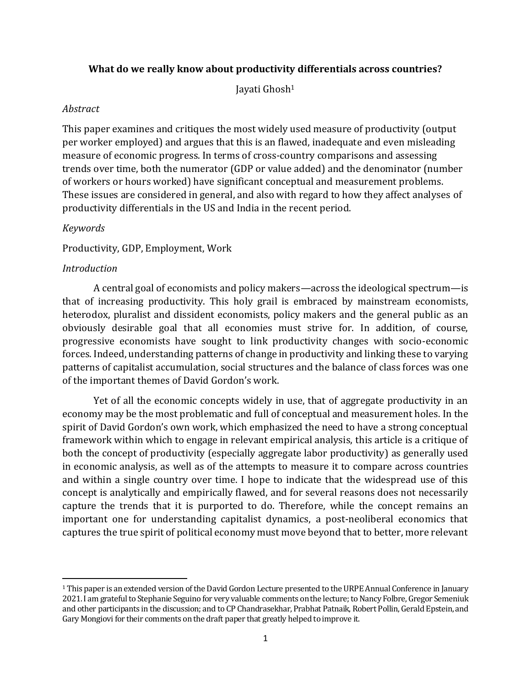# **What do we really know about productivity differentials across countries?**

Jayati Ghosh<sup>1</sup>

### *Abstract*

This paper examines and critiques the most widely used measure of productivity (output per worker employed) and argues that this is an flawed, inadequate and even misleading measure of economic progress. In terms of cross-country comparisons and assessing trends over time, both the numerator (GDP or value added) and the denominator (number of workers or hours worked) have significant conceptual and measurement problems. These issues are considered in general, and also with regard to how they affect analyses of productivity differentials in the US and India in the recent period.

# *Keywords*

Productivity, GDP, Employment, Work

# *Introduction*

A central goal of economists and policy makers—across the ideological spectrum—is that of increasing productivity. This holy grail is embraced by mainstream economists, heterodox, pluralist and dissident economists, policy makers and the general public as an obviously desirable goal that all economies must strive for. In addition, of course, progressive economists have sought to link productivity changes with socio-economic forces. Indeed, understanding patterns of change in productivity and linking these to varying patterns of capitalist accumulation, social structures and the balance of class forces was one of the important themes of David Gordon's work.

Yet of all the economic concepts widely in use, that of aggregate productivity in an economy may be the most problematic and full of conceptual and measurement holes. In the spirit of David Gordon's own work, which emphasized the need to have a strong conceptual framework within which to engage in relevant empirical analysis, this article is a critique of both the concept of productivity (especially aggregate labor productivity) as generally used in economic analysis, as well as of the attempts to measure it to compare across countries and within a single country over time. I hope to indicate that the widespread use of this concept is analytically and empirically flawed, and for several reasons does not necessarily capture the trends that it is purported to do. Therefore, while the concept remains an important one for understanding capitalist dynamics, a post-neoliberal economics that captures the true spirit of political economy must move beyond that to better, more relevant

<sup>&</sup>lt;sup>1</sup> This paper is an extended version of the David Gordon Lecture presented to the URPE Annual Conference in January 2021. I am grateful to Stephanie Seguino for very valuable comments on the lecture;to Nancy Folbre, Gregor Semeniuk and other participants in the discussion; and to CP Chandrasekhar, Prabhat Patnaik, Robert Pollin, Gerald Epstein, and Gary Mongiovi for their comments on the draft paper that greatly helped to improve it.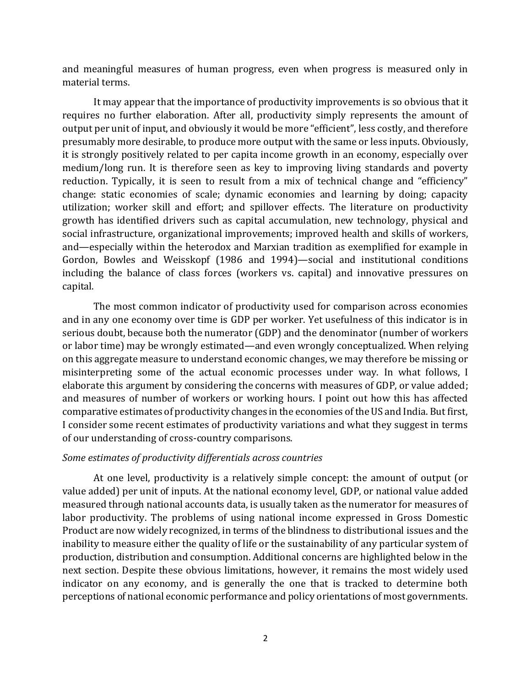and meaningful measures of human progress, even when progress is measured only in material terms.

It may appear that the importance of productivity improvements is so obvious that it requires no further elaboration. After all, productivity simply represents the amount of output per unit of input, and obviously it would be more "efficient", less costly, and therefore presumably more desirable, to produce more output with the same or less inputs. Obviously, it is strongly positively related to per capita income growth in an economy, especially over medium/long run. It is therefore seen as key to improving living standards and poverty reduction. Typically, it is seen to result from a mix of technical change and "efficiency" change: static economies of scale; dynamic economies and learning by doing; capacity utilization; worker skill and effort; and spillover effects. The literature on productivity growth has identified drivers such as capital accumulation, new technology, physical and social infrastructure, organizational improvements; improved health and skills of workers, and—especially within the heterodox and Marxian tradition as exemplified for example in Gordon, Bowles and Weisskopf (1986 and 1994)—social and institutional conditions including the balance of class forces (workers vs. capital) and innovative pressures on capital.

The most common indicator of productivity used for comparison across economies and in any one economy over time is GDP per worker. Yet usefulness of this indicator is in serious doubt, because both the numerator (GDP) and the denominator (number of workers or labor time) may be wrongly estimated—and even wrongly conceptualized. When relying on this aggregate measure to understand economic changes, we may therefore be missing or misinterpreting some of the actual economic processes under way. In what follows, I elaborate this argument by considering the concerns with measures of GDP, or value added; and measures of number of workers or working hours. I point out how this has affected comparative estimates of productivity changes in the economies of the US and India. But first, I consider some recent estimates of productivity variations and what they suggest in terms of our understanding of cross-country comparisons.

#### *Some estimates of productivity differentials across countries*

At one level, productivity is a relatively simple concept: the amount of output (or value added) per unit of inputs. At the national economy level, GDP, or national value added measured through national accounts data, is usually taken as the numerator for measures of labor productivity. The problems of using national income expressed in Gross Domestic Product are now widely recognized, in terms of the blindness to distributional issues and the inability to measure either the quality of life or the sustainability of any particular system of production, distribution and consumption. Additional concerns are highlighted below in the next section. Despite these obvious limitations, however, it remains the most widely used indicator on any economy, and is generally the one that is tracked to determine both perceptions of national economic performance and policy orientations of most governments.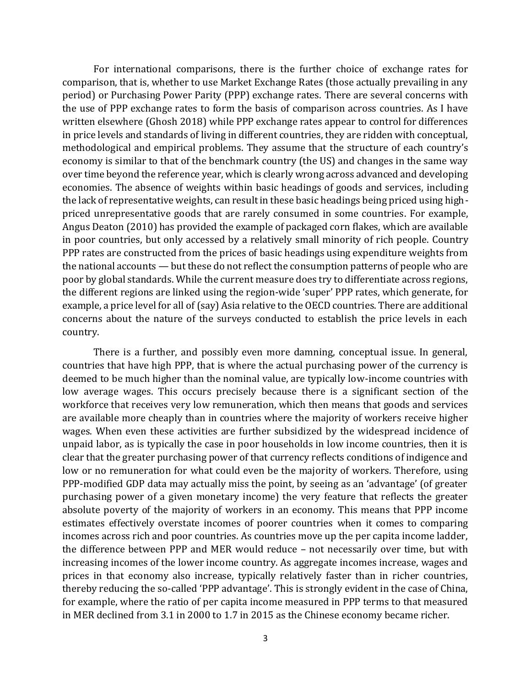For international comparisons, there is the further choice of exchange rates for comparison, that is, whether to use Market Exchange Rates (those actually prevailing in any period) or Purchasing Power Parity (PPP) exchange rates. There are several concerns with the use of PPP exchange rates to form the basis of comparison across countries. As I have written elsewhere (Ghosh 2018) while PPP exchange rates appear to control for differences in price levels and standards of living in different countries, they are ridden with conceptual, methodological and empirical problems. They assume that the structure of each country's economy is similar to that of the benchmark country (the US) and changes in the same way over time beyond the reference year, which is clearly wrong across advanced and developing economies. The absence of weights within basic headings of goods and services, including the lack of representative weights, can result in these basic headings being priced using highpriced unrepresentative goods that are rarely consumed in some countries. For example, Angus Deaton (2010) has provided the example of packaged corn flakes, which are available in poor countries, but only accessed by a relatively small minority of rich people. Country PPP rates are constructed from the prices of basic headings using expenditure weights from the national accounts — but these do not reflect the consumption patterns of people who are poor by global standards. While the current measure does try to differentiate across regions, the different regions are linked using the region-wide 'super' PPP rates, which generate, for example, a price level for all of (say) Asia relative to the OECD countries. There are additional concerns about the nature of the surveys conducted to establish the price levels in each country.

There is a further, and possibly even more damning, conceptual issue. In general, countries that have high PPP, that is where the actual purchasing power of the currency is deemed to be much higher than the nominal value, are typically low-income countries with low average wages. This occurs precisely because there is a significant section of the workforce that receives very low remuneration, which then means that goods and services are available more cheaply than in countries where the majority of workers receive higher wages. When even these activities are further subsidized by the widespread incidence of unpaid labor, as is typically the case in poor households in low income countries, then it is clear that the greater purchasing power of that currency reflects conditions of indigence and low or no remuneration for what could even be the majority of workers. Therefore, using PPP-modified GDP data may actually miss the point, by seeing as an 'advantage' (of greater purchasing power of a given monetary income) the very feature that reflects the greater absolute poverty of the majority of workers in an economy. This means that PPP income estimates effectively overstate incomes of poorer countries when it comes to comparing incomes across rich and poor countries. As countries move up the per capita income ladder, the difference between PPP and MER would reduce – not necessarily over time, but with increasing incomes of the lower income country. As aggregate incomes increase, wages and prices in that economy also increase, typically relatively faster than in richer countries, thereby reducing the so-called 'PPP advantage'. This is strongly evident in the case of China, for example, where the ratio of per capita income measured in PPP terms to that measured in MER declined from 3.1 in 2000 to 1.7 in 2015 as the Chinese economy became richer.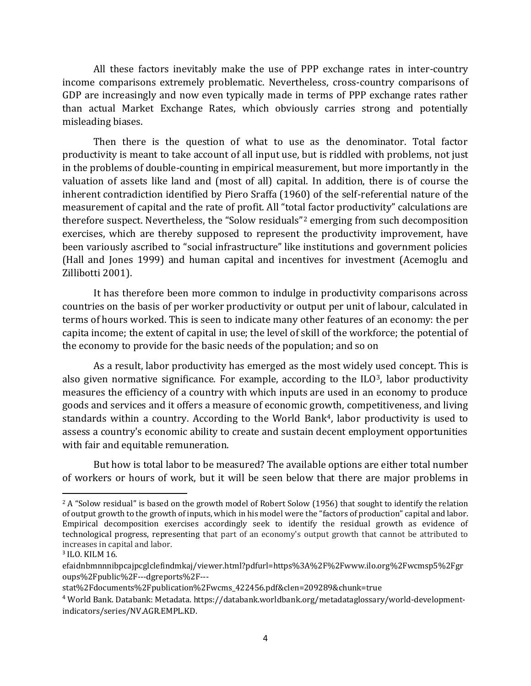All these factors inevitably make the use of PPP exchange rates in inter-country income comparisons extremely problematic. Nevertheless, cross-country comparisons of GDP are increasingly and now even typically made in terms of PPP exchange rates rather than actual Market Exchange Rates, which obviously carries strong and potentially misleading biases.

Then there is the question of what to use as the denominator. Total factor productivity is meant to take account of all input use, but is riddled with problems, not just in the problems of double-counting in empirical measurement, but more importantly in the valuation of assets like land and (most of all) capital. In addition, there is of course the inherent contradiction identified by Piero Sraffa (1960) of the self-referential nature of the measurement of capital and the rate of profit. All "total factor productivity" calculations are therefore suspect. Nevertheless, the "Solow residuals"<sup>2</sup> emerging from such decomposition exercises, which are thereby supposed to represent the productivity improvement, have been variously ascribed to "social infrastructure" like institutions and government policies (Hall and Jones 1999) and human capital and incentives for investment (Acemoglu and Zillibotti 2001).

It has therefore been more common to indulge in productivity comparisons across countries on the basis of per worker productivity or output per unit of labour, calculated in terms of hours worked. This is seen to indicate many other features of an economy: the per capita income; the extent of capital in use; the level of skill of the workforce; the potential of the economy to provide for the basic needs of the population; and so on

As a result, labor productivity has emerged as the most widely used concept. This is also given normative significance. For example, according to the  $II_0^3$ , labor productivity measures the efficiency of a country with which inputs are used in an economy to produce goods and services and it offers a measure of economic growth, competitiveness, and living standards within a country. According to the World Bank<sup>4</sup>, labor productivity is used to assess a country's economic ability to create and sustain decent employment opportunities with fair and equitable remuneration.

But how is total labor to be measured? The available options are either total number of workers or hours of work, but it will be seen below that there are major problems in

<sup>&</sup>lt;sup>2</sup> A "Solow residual" is based on the growth model of Robert Solow (1956) that sought to identify the relation of output growth to the growth of inputs, which in his model were the "factors of production" capital and labor. Empirical decomposition exercises accordingly seek to identify the residual growth as evidence of technological progress, representing that part of an economy's output growth that cannot be attributed to increases in capital and labor.

<sup>3</sup> ILO. KILM 16.

efaidnbmnnnibpcajpcglclefindmkaj/viewer.html?pdfurl=https%3A%2F%2Fwww.ilo.org%2Fwcmsp5%2Fgr oups%2Fpublic%2F---dgreports%2F---

stat%2Fdocuments%2Fpublication%2Fwcms\_422456.pdf&clen=209289&chunk=true

<sup>4</sup> World Bank. Databank: Metadata. https://databank.worldbank.org/metadataglossary/world-developmentindicators/series/NV.AGR.EMPL.KD.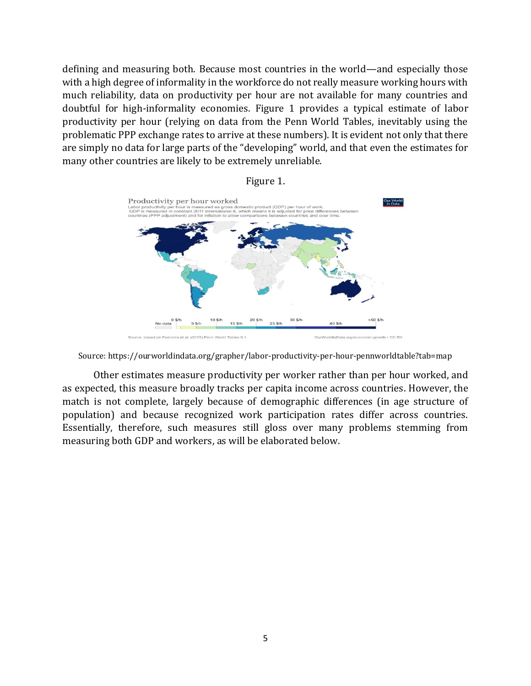defining and measuring both. Because most countries in the world—and especially those with a high degree of informality in the workforce do not really measure working hours with much reliability, data on productivity per hour are not available for many countries and doubtful for high-informality economies. Figure 1 provides a typical estimate of labor productivity per hour (relying on data from the Penn World Tables, inevitably using the problematic PPP exchange rates to arrive at these numbers). It is evident not only that there are simply no data for large parts of the "developing" world, and that even the estimates for many other countries are likely to be extremely unreliable.



Figure 1.

Source: https://ourworldindata.org/grapher/labor-productivity-per-hour-pennworldtable?tab=map

Other estimates measure productivity per worker rather than per hour worked, and as expected, this measure broadly tracks per capita income across countries. However, the match is not complete, largely because of demographic differences (in age structure of population) and because recognized work participation rates differ across countries. Essentially, therefore, such measures still gloss over many problems stemming from measuring both GDP and workers, as will be elaborated below.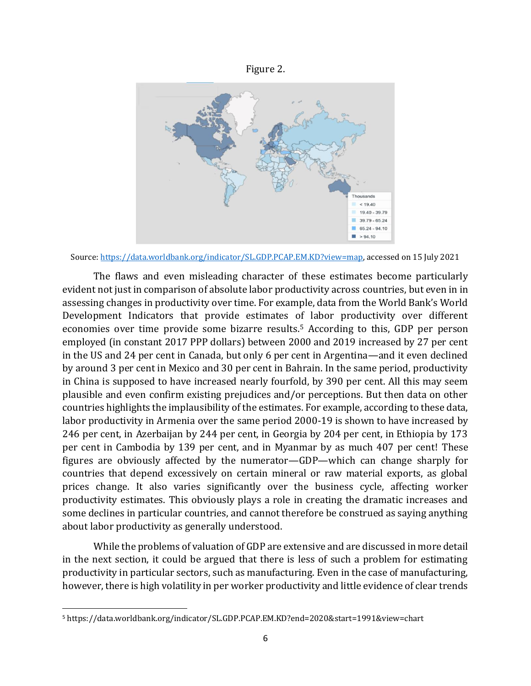



Source: [https://data.worldbank.org/indicator/SL.GDP.PCAP.EM.KD?view=map,](https://data.worldbank.org/indicator/SL.GDP.PCAP.EM.KD?view=map) accessed on 15 July 2021

The flaws and even misleading character of these estimates become particularly evident not just in comparison of absolute labor productivity across countries, but even in in assessing changes in productivity over time. For example, data from the World Bank's World Development Indicators that provide estimates of labor productivity over different economies over time provide some bizarre results.<sup>5</sup> According to this, GDP per person employed (in constant 2017 PPP dollars) between 2000 and 2019 increased by 27 per cent in the US and 24 per cent in Canada, but only 6 per cent in Argentina—and it even declined by around 3 per cent in Mexico and 30 per cent in Bahrain. In the same period, productivity in China is supposed to have increased nearly fourfold, by 390 per cent. All this may seem plausible and even confirm existing prejudices and/or perceptions. But then data on other countries highlights the implausibility of the estimates. For example, according to these data, labor productivity in Armenia over the same period 2000-19 is shown to have increased by 246 per cent, in Azerbaijan by 244 per cent, in Georgia by 204 per cent, in Ethiopia by 173 per cent in Cambodia by 139 per cent, and in Myanmar by as much 407 per cent! These figures are obviously affected by the numerator—GDP—which can change sharply for countries that depend excessively on certain mineral or raw material exports, as global prices change. It also varies significantly over the business cycle, affecting worker productivity estimates. This obviously plays a role in creating the dramatic increases and some declines in particular countries, and cannot therefore be construed as saying anything about labor productivity as generally understood.

While the problems of valuation of GDP are extensive and are discussed in more detail in the next section, it could be argued that there is less of such a problem for estimating productivity in particular sectors, such as manufacturing. Even in the case of manufacturing, however, there is high volatility in per worker productivity and little evidence of clear trends

<sup>5</sup> https://data.worldbank.org/indicator/SL.GDP.PCAP.EM.KD?end=2020&start=1991&view=chart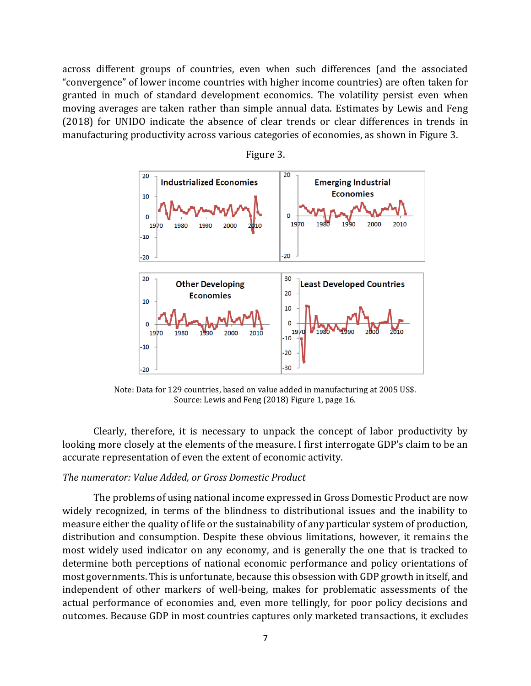across different groups of countries, even when such differences (and the associated "convergence" of lower income countries with higher income countries) are often taken for granted in much of standard development economics. The volatility persist even when moving averages are taken rather than simple annual data. Estimates by Lewis and Feng (2018) for UNIDO indicate the absence of clear trends or clear differences in trends in manufacturing productivity across various categories of economies, as shown in Figure 3.



Figure 3.

Note: Data for 129 countries, based on value added in manufacturing at 2005 US\$. Source: Lewis and Feng (2018) Figure 1, page 16.

Clearly, therefore, it is necessary to unpack the concept of labor productivity by looking more closely at the elements of the measure. I first interrogate GDP's claim to be an accurate representation of even the extent of economic activity.

#### *The numerator: Value Added, or Gross Domestic Product*

The problems of using national income expressed in Gross Domestic Product are now widely recognized, in terms of the blindness to distributional issues and the inability to measure either the quality of life or the sustainability of any particular system of production, distribution and consumption. Despite these obvious limitations, however, it remains the most widely used indicator on any economy, and is generally the one that is tracked to determine both perceptions of national economic performance and policy orientations of most governments. This is unfortunate, because this obsession with GDP growth in itself, and independent of other markers of well-being, makes for problematic assessments of the actual performance of economies and, even more tellingly, for poor policy decisions and outcomes. Because GDP in most countries captures only marketed transactions, it excludes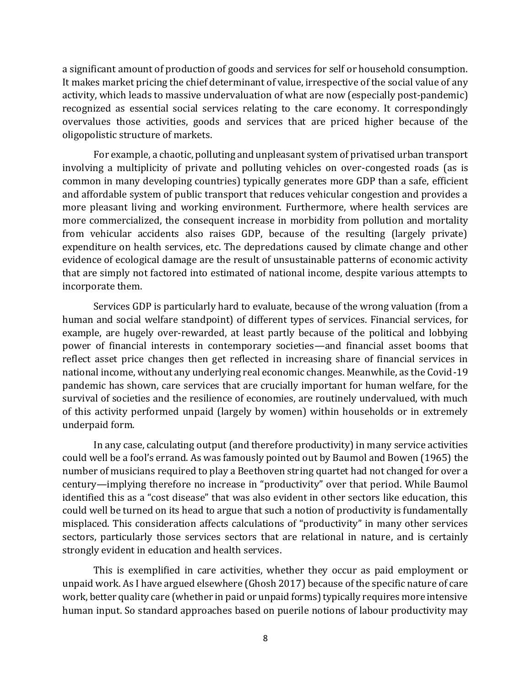a significant amount of production of goods and services for self or household consumption. It makes market pricing the chief determinant of value, irrespective of the social value of any activity, which leads to massive undervaluation of what are now (especially post-pandemic) recognized as essential social services relating to the care economy. It correspondingly overvalues those activities, goods and services that are priced higher because of the oligopolistic structure of markets.

For example, a chaotic, polluting and unpleasant system of privatised urban transport involving a multiplicity of private and polluting vehicles on over-congested roads (as is common in many developing countries) typically generates more GDP than a safe, efficient and affordable system of public transport that reduces vehicular congestion and provides a more pleasant living and working environment. Furthermore, where health services are more commercialized, the consequent increase in morbidity from pollution and mortality from vehicular accidents also raises GDP, because of the resulting (largely private) expenditure on health services, etc. The depredations caused by climate change and other evidence of ecological damage are the result of unsustainable patterns of economic activity that are simply not factored into estimated of national income, despite various attempts to incorporate them.

Services GDP is particularly hard to evaluate, because of the wrong valuation (from a human and social welfare standpoint) of different types of services. Financial services, for example, are hugely over-rewarded, at least partly because of the political and lobbying power of financial interests in contemporary societies—and financial asset booms that reflect asset price changes then get reflected in increasing share of financial services in national income, without any underlying real economic changes. Meanwhile, as the Covid-19 pandemic has shown, care services that are crucially important for human welfare, for the survival of societies and the resilience of economies, are routinely undervalued, with much of this activity performed unpaid (largely by women) within households or in extremely underpaid form.

In any case, calculating output (and therefore productivity) in many service activities could well be a fool's errand. As was famously pointed out by Baumol and Bowen (1965) the number of musicians required to play a Beethoven string quartet had not changed for over a century—implying therefore no increase in "productivity" over that period. While Baumol identified this as a "cost disease" that was also evident in other sectors like education, this could well be turned on its head to argue that such a notion of productivity is fundamentally misplaced. This consideration affects calculations of "productivity" in many other services sectors, particularly those services sectors that are relational in nature, and is certainly strongly evident in education and health services.

This is exemplified in care activities, whether they occur as paid employment or unpaid work. As I have argued elsewhere (Ghosh 2017) because of the specific nature of care work, better quality care (whether in paid or unpaid forms) typically requires more intensive human input. So standard approaches based on puerile notions of labour productivity may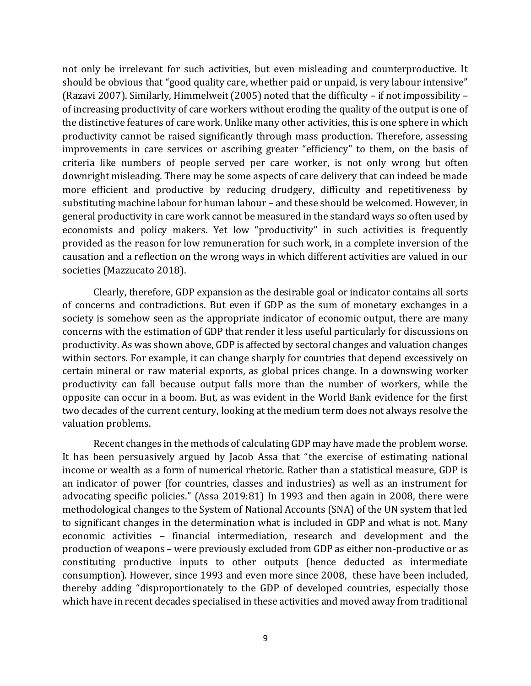not only be irrelevant for such activities, but even misleading and counterproductive. It should be obvious that "good quality care, whether paid or unpaid, is very labour intensive" (Razavi 2007). Similarly, Himmelweit (2005) noted that the difficulty – if not impossibility – of increasing productivity of care workers without eroding the quality of the output is one of the distinctive features of care work. Unlike many other activities, this is one sphere in which productivity cannot be raised significantly through mass production. Therefore, assessing improvements in care services or ascribing greater "efficiency" to them, on the basis of criteria like numbers of people served per care worker, is not only wrong but often downright misleading. There may be some aspects of care delivery that can indeed be made more efficient and productive by reducing drudgery, difficulty and repetitiveness by substituting machine labour for human labour – and these should be welcomed. However, in general productivity in care work cannot be measured in the standard ways so often used by economists and policy makers. Yet low "productivity" in such activities is frequently provided as the reason for low remuneration for such work, in a complete inversion of the causation and a reflection on the wrong ways in which different activities are valued in our societies (Mazzucato 2018).

Clearly, therefore, GDP expansion as the desirable goal or indicator contains all sorts of concerns and contradictions. But even if GDP as the sum of monetary exchanges in a society is somehow seen as the appropriate indicator of economic output, there are many concerns with the estimation of GDP that render it less useful particularly for discussions on productivity. As was shown above, GDP is affected by sectoral changes and valuation changes within sectors. For example, it can change sharply for countries that depend excessively on certain mineral or raw material exports, as global prices change. In a downswing worker productivity can fall because output falls more than the number of workers, while the opposite can occur in a boom. But, as was evident in the World Bank evidence for the first two decades of the current century, looking at the medium term does not always resolve the valuation problems.

Recent changes in the methods of calculating GDP may have made the problem worse. It has been persuasively argued by Jacob Assa that "the exercise of estimating national income or wealth as a form of numerical rhetoric. Rather than a statistical measure, GDP is an indicator of power (for countries, classes and industries) as well as an instrument for advocating specific policies." (Assa 2019:81) In 1993 and then again in 2008, there were methodological changes to the System of National Accounts (SNA) of the UN system that led to significant changes in the determination what is included in GDP and what is not. Many economic activities – financial intermediation, research and development and the production of weapons – were previously excluded from GDP as either non-productive or as constituting productive inputs to other outputs (hence deducted as intermediate consumption). However, since 1993 and even more since 2008, these have been included, thereby adding "disproportionately to the GDP of developed countries, especially those which have in recent decades specialised in these activities and moved away from traditional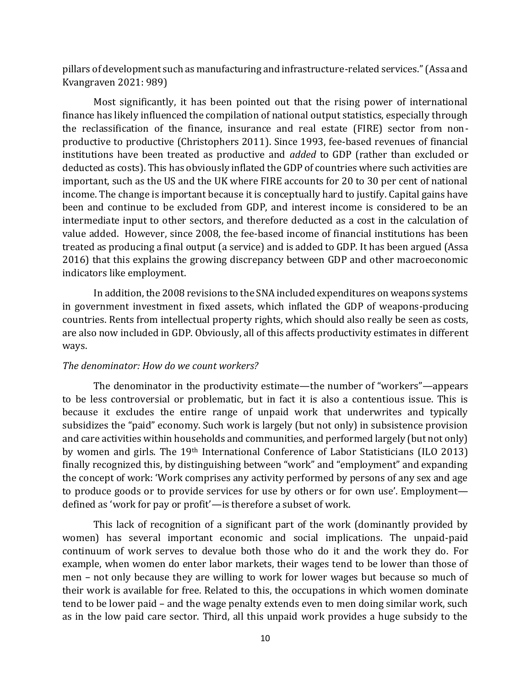pillars of development such as manufacturing and infrastructure-related services." (Assa and Kvangraven 2021: 989)

Most significantly, it has been pointed out that the rising power of international finance has likely influenced the compilation of national output statistics, especially through the reclassification of the finance, insurance and real estate (FIRE) sector from nonproductive to productive (Christophers 2011). Since 1993, fee-based revenues of financial institutions have been treated as productive and *added* to GDP (rather than excluded or deducted as costs). This has obviously inflated the GDP of countries where such activities are important, such as the US and the UK where FIRE accounts for 20 to 30 per cent of national income. The change is important because it is conceptually hard to justify. Capital gains have been and continue to be excluded from GDP, and interest income is considered to be an intermediate input to other sectors, and therefore deducted as a cost in the calculation of value added. However, since 2008, the fee-based income of financial institutions has been treated as producing a final output (a service) and is added to GDP. It has been argued (Assa 2016) that this explains the growing discrepancy between GDP and other macroeconomic indicators like employment.

In addition, the 2008 revisions to the SNA included expenditures on weapons systems in government investment in fixed assets, which inflated the GDP of weapons-producing countries. Rents from intellectual property rights, which should also really be seen as costs, are also now included in GDP. Obviously, all of this affects productivity estimates in different ways.

#### *The denominator: How do we count workers?*

The denominator in the productivity estimate—the number of "workers"—appears to be less controversial or problematic, but in fact it is also a contentious issue. This is because it excludes the entire range of unpaid work that underwrites and typically subsidizes the "paid" economy. Such work is largely (but not only) in subsistence provision and care activities within households and communities, and performed largely (but not only) by women and girls. The 19th International Conference of Labor Statisticians (ILO 2013) finally recognized this, by distinguishing between "work" and "employment" and expanding the concept of work: 'Work comprises any activity performed by persons of any sex and age to produce goods or to provide services for use by others or for own use'. Employment defined as 'work for pay or profit'—is therefore a subset of work.

This lack of recognition of a significant part of the work (dominantly provided by women) has several important economic and social implications. The unpaid-paid continuum of work serves to devalue both those who do it and the work they do. For example, when women do enter labor markets, their wages tend to be lower than those of men – not only because they are willing to work for lower wages but because so much of their work is available for free. Related to this, the occupations in which women dominate tend to be lower paid – and the wage penalty extends even to men doing similar work, such as in the low paid care sector. Third, all this unpaid work provides a huge subsidy to the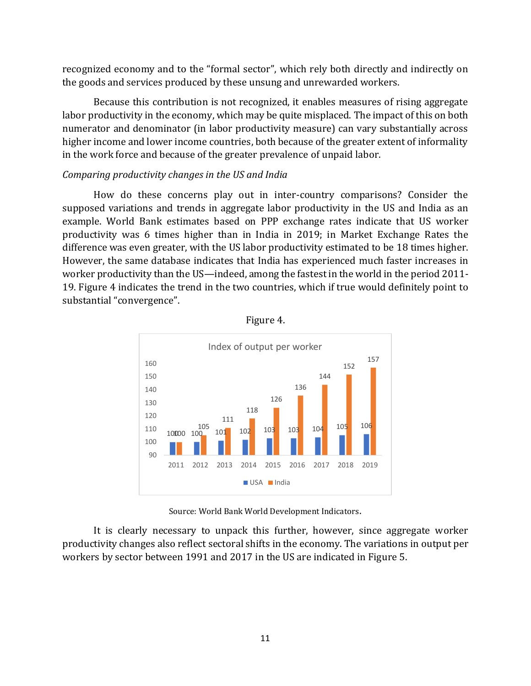recognized economy and to the "formal sector", which rely both directly and indirectly on the goods and services produced by these unsung and unrewarded workers.

Because this contribution is not recognized, it enables measures of rising aggregate labor productivity in the economy, which may be quite misplaced. The impact of this on both numerator and denominator (in labor productivity measure) can vary substantially across higher income and lower income countries, both because of the greater extent of informality in the work force and because of the greater prevalence of unpaid labor.

# *Comparing productivity changes in the US and India*

How do these concerns play out in inter-country comparisons? Consider the supposed variations and trends in aggregate labor productivity in the US and India as an example. World Bank estimates based on PPP exchange rates indicate that US worker productivity was 6 times higher than in India in 2019; in Market Exchange Rates the difference was even greater, with the US labor productivity estimated to be 18 times higher. However, the same database indicates that India has experienced much faster increases in worker productivity than the US—indeed, among the fastest in the world in the period 2011- 19. Figure 4 indicates the trend in the two countries, which if true would definitely point to substantial "convergence".





Source: World Bank World Development Indicators.

It is clearly necessary to unpack this further, however, since aggregate worker productivity changes also reflect sectoral shifts in the economy. The variations in output per workers by sector between 1991 and 2017 in the US are indicated in Figure 5.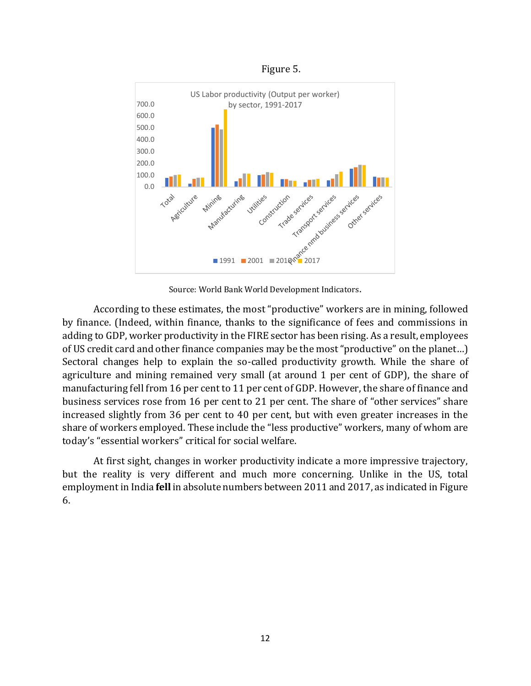



Source: World Bank World Development Indicators.

According to these estimates, the most "productive" workers are in mining, followed by finance. (Indeed, within finance, thanks to the significance of fees and commissions in adding to GDP, worker productivity in the FIRE sector has been rising. As a result, employees of US credit card and other finance companies may be the most "productive" on the planet…) Sectoral changes help to explain the so-called productivity growth. While the share of agriculture and mining remained very small (at around 1 per cent of GDP), the share of manufacturing fell from 16 per cent to 11 per cent of GDP. However, the share of finance and business services rose from 16 per cent to 21 per cent. The share of "other services" share increased slightly from 36 per cent to 40 per cent, but with even greater increases in the share of workers employed. These include the "less productive" workers, many of whom are today's "essential workers" critical for social welfare.

At first sight, changes in worker productivity indicate a more impressive trajectory, but the reality is very different and much more concerning. Unlike in the US, total employment in India **fell** in absolute numbers between 2011 and 2017, as indicated in Figure 6.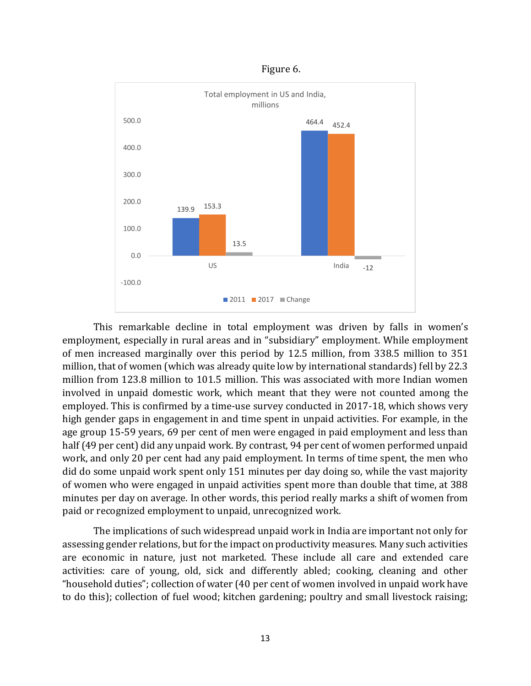



This remarkable decline in total employment was driven by falls in women's employment, especially in rural areas and in "subsidiary" employment. While employment of men increased marginally over this period by 12.5 million, from 338.5 million to 351 million, that of women (which was already quite low by international standards) fell by 22.3 million from 123.8 million to 101.5 million. This was associated with more Indian women involved in unpaid domestic work, which meant that they were not counted among the employed. This is confirmed by a time-use survey conducted in 2017-18, which shows very high gender gaps in engagement in and time spent in unpaid activities. For example, in the age group 15-59 years, 69 per cent of men were engaged in paid employment and less than half (49 per cent) did any unpaid work. By contrast, 94 per cent of women performed unpaid work, and only 20 per cent had any paid employment. In terms of time spent, the men who did do some unpaid work spent only 151 minutes per day doing so, while the vast majority of women who were engaged in unpaid activities spent more than double that time, at 388 minutes per day on average. In other words, this period really marks a shift of women from paid or recognized employment to unpaid, unrecognized work.

The implications of such widespread unpaid work in India are important not only for assessing gender relations, but for the impact on productivity measures. Many such activities are economic in nature, just not marketed. These include all care and extended care activities: care of young, old, sick and differently abled; cooking, cleaning and other "household duties"; collection of water (40 per cent of women involved in unpaid work have to do this); collection of fuel wood; kitchen gardening; poultry and small livestock raising;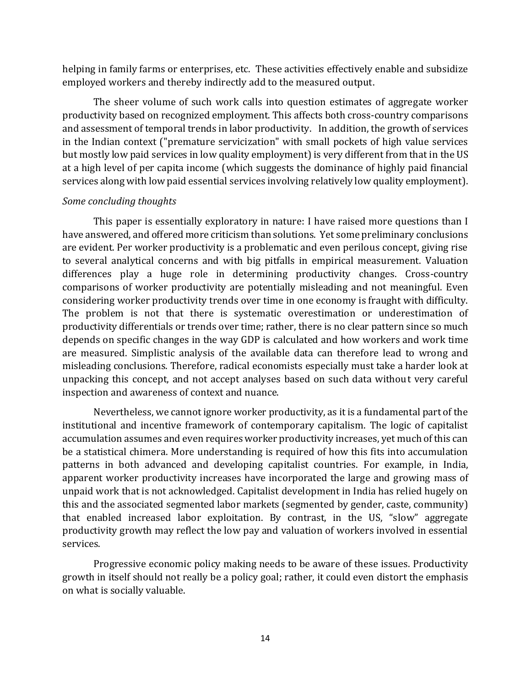helping in family farms or enterprises, etc. These activities effectively enable and subsidize employed workers and thereby indirectly add to the measured output.

The sheer volume of such work calls into question estimates of aggregate worker productivity based on recognized employment. This affects both cross-country comparisons and assessment of temporal trends in labor productivity. In addition, the growth of services in the Indian context ("premature servicization" with small pockets of high value services but mostly low paid services in low quality employment) is very different from that in the US at a high level of per capita income (which suggests the dominance of highly paid financial services along with low paid essential services involving relatively low quality employment).

# *Some concluding thoughts*

This paper is essentially exploratory in nature: I have raised more questions than I have answered, and offered more criticism than solutions. Yet some preliminary conclusions are evident. Per worker productivity is a problematic and even perilous concept, giving rise to several analytical concerns and with big pitfalls in empirical measurement. Valuation differences play a huge role in determining productivity changes. Cross-country comparisons of worker productivity are potentially misleading and not meaningful. Even considering worker productivity trends over time in one economy is fraught with difficulty. The problem is not that there is systematic overestimation or underestimation of productivity differentials or trends over time; rather, there is no clear pattern since so much depends on specific changes in the way GDP is calculated and how workers and work time are measured. Simplistic analysis of the available data can therefore lead to wrong and misleading conclusions. Therefore, radical economists especially must take a harder look at unpacking this concept, and not accept analyses based on such data without very careful inspection and awareness of context and nuance.

Nevertheless, we cannot ignore worker productivity, as it is a fundamental part of the institutional and incentive framework of contemporary capitalism. The logic of capitalist accumulation assumes and even requires worker productivity increases, yet much of this can be a statistical chimera. More understanding is required of how this fits into accumulation patterns in both advanced and developing capitalist countries. For example, in India, apparent worker productivity increases have incorporated the large and growing mass of unpaid work that is not acknowledged. Capitalist development in India has relied hugely on this and the associated segmented labor markets (segmented by gender, caste, community) that enabled increased labor exploitation. By contrast, in the US, "slow" aggregate productivity growth may reflect the low pay and valuation of workers involved in essential services.

Progressive economic policy making needs to be aware of these issues. Productivity growth in itself should not really be a policy goal; rather, it could even distort the emphasis on what is socially valuable.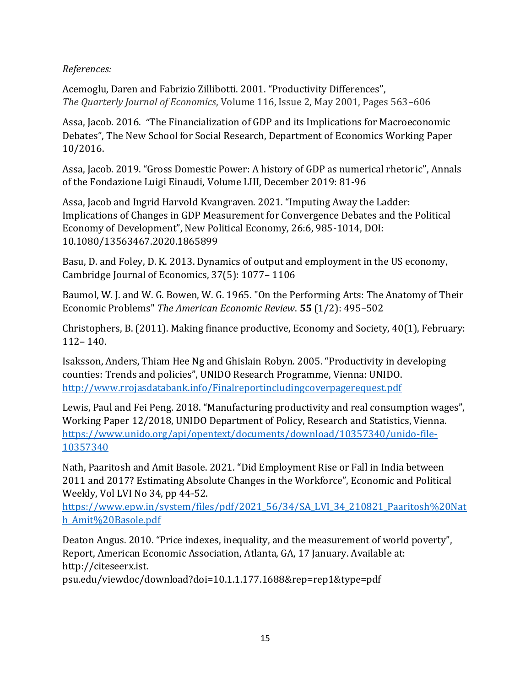*References:*

Acemoglu, Daren and Fabrizio Zillibotti. 2001. "Productivity Differences", *The Quarterly Journal of Economics*, Volume 116, Issue 2, May 2001, Pages 563–606

Assa, Jacob. 2016. "The Financialization of GDP and its Implications for Macroeconomic Debates", The New School for Social Research, Department of Economics Working Paper 10/2016.

Assa, Jacob. 2019. "Gross Domestic Power: A history of GDP as numerical rhetoric", Annals of the Fondazione Luigi Einaudi, Volume LIII, December 2019: 81-96

Assa, Jacob and Ingrid Harvold Kvangraven. 2021. "Imputing Away the Ladder: Implications of Changes in GDP Measurement for Convergence Debates and the Political Economy of Development", New Political Economy, 26:6, 985-1014, DOI: 10.1080/13563467.2020.1865899

Basu, D. and Foley, D. K. 2013. Dynamics of output and employment in the US economy, Cambridge Journal of Economics, 37(5): 1077– 1106

Baumol, W. J. and W. G. Bowen, W. G. 1965. ["On the Performing Arts: The Anatomy of Their](http://pages.stern.nyu.edu/~wbaumol/OnThePerformingArtsTheAnatomyOfTheirEcoProbs.pdf)  [Economic Problems"](http://pages.stern.nyu.edu/~wbaumol/OnThePerformingArtsTheAnatomyOfTheirEcoProbs.pdf) *[The American Economic Review](https://en.wikipedia.org/wiki/The_American_Economic_Review)*. **55** (1/2): 495–502

Christophers, B. (2011). Making finance productive, Economy and Society, 40(1), February: 112– 140.

Isaksson, Anders, Thiam Hee Ng and Ghislain Robyn. 2005. "Productivity in developing counties: Trends and policies", UNIDO Research Programme, Vienna: UNIDO. <http://www.rrojasdatabank.info/Finalreportincludingcoverpagerequest.pdf>

Lewis, Paul and Fei Peng. 2018. "Manufacturing productivity and real consumption wages", Working Paper 12/2018, UNIDO Department of Policy, Research and Statistics, Vienna. [https://www.unido.org/api/opentext/documents/download/10357340/unido-file-](https://www.unido.org/api/opentext/documents/download/10357340/unido-file-10357340)[10357340](https://www.unido.org/api/opentext/documents/download/10357340/unido-file-10357340)

Nath, Paaritosh and Amit Basole. 2021. "Did Employment Rise or Fall in India between 2011 and 2017? Estimating Absolute Changes in the Workforce", Economic and Political Weekly, Vol LVI No 34, pp 44-52.

[https://www.epw.in/system/files/pdf/2021\\_56/34/SA\\_LVI\\_34\\_210821\\_Paaritosh%20Nat](https://www.epw.in/system/files/pdf/2021_56/34/SA_LVI_34_210821_Paaritosh%20Nath_Amit%20Basole.pdf) [h\\_Amit%20Basole.pdf](https://www.epw.in/system/files/pdf/2021_56/34/SA_LVI_34_210821_Paaritosh%20Nath_Amit%20Basole.pdf)

Deaton Angus. 2010. "Price indexes, inequality, and the measurement of world poverty", Report, American Economic Association, Atlanta, GA, 17 January. Available at: http://citeseerx.ist.

psu.edu/viewdoc/download?doi=10.1.1.177.1688&rep=rep1&type=pdf